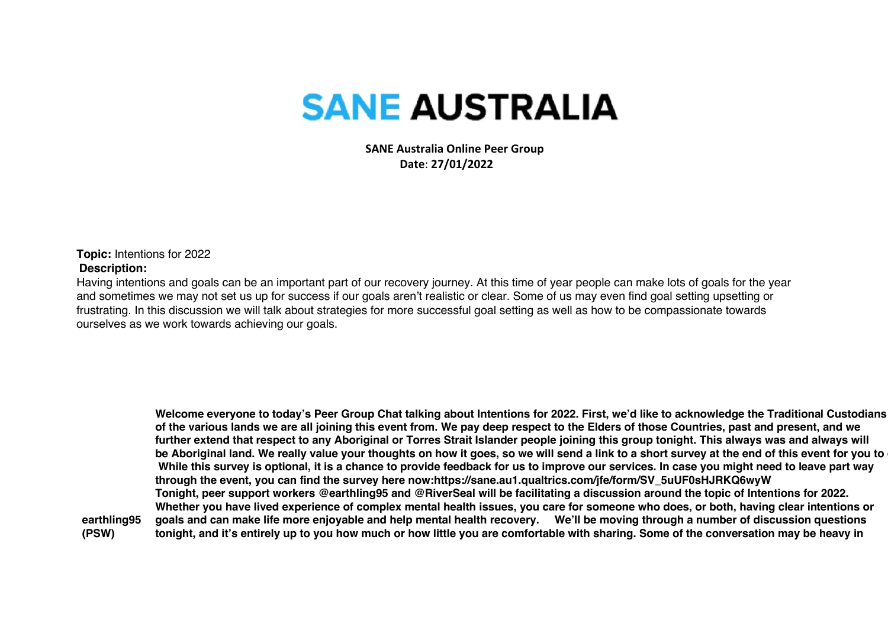## **SANE AUSTRALIA**

 **SANE Australia Online Peer Group Date**: **27/01/2022**

**Topic:** Intentions for 2022 **Description:**

Having intentions and goals can be an important part of our recovery journey. At this time of year people can make lots of goals for the year and sometimes we may not set us up for success if our goals aren't realistic or clear. Some of us may even find goal setting upsetting or frustrating. In this discussion we will talk about strategies for more successful goal setting as well as how to be compassionate towards ourselves as we work towards achieving our goals.

**earthling95 (PSW) Welcome everyone to today's Peer Group Chat talking about Intentions for 2022. First, we'd like to acknowledge the Traditional Custodians of the various lands we are all joining this event from. We pay deep respect to the Elders of those Countries, past and present, and we further extend that respect to any Aboriginal or Torres Strait Islander people joining this group tonight. This always was and always will be Aboriginal land. We really value your thoughts on how it goes, so we will send a link to a short survey at the end of this event for you to complete. While this survey is optional, it is a chance to provide feedback for us to improve our services. In case you might need to leave part way through the event, you can find the survey here now:https://sane.au1.qualtrics.com/jfe/form/SV\_5uUF0sHJRKQ6wyW Tonight, peer support workers @earthling95 and @RiverSeal will be facilitating a discussion around the topic of Intentions for 2022. Whether you have lived experience of complex mental health issues, you care for someone who does, or both, having clear intentions or goals and can make life more enjoyable and help mental health recovery. We'll be moving through a number of discussion questions tonight, and it's entirely up to you how much or how little you are comfortable with sharing. Some of the conversation may be heavy in**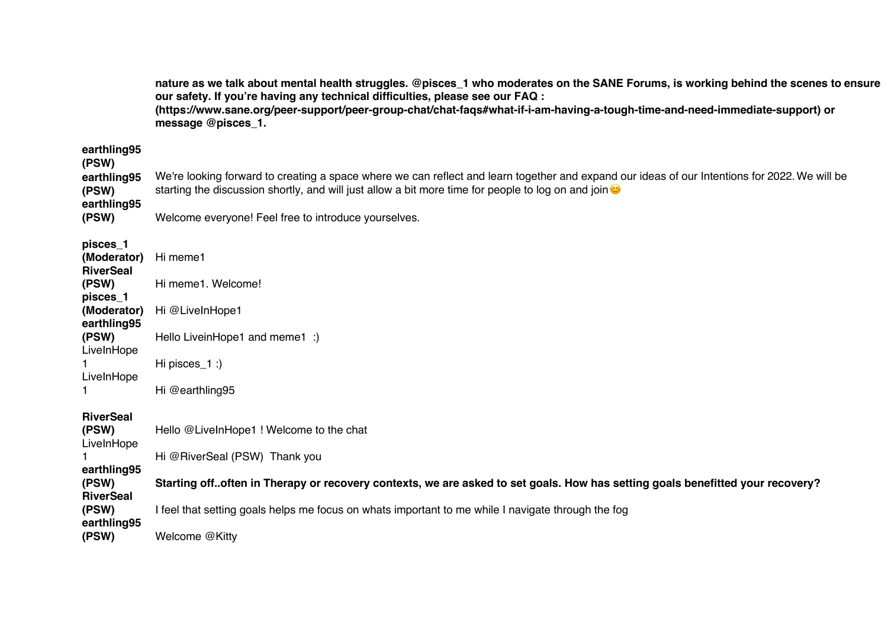**nature as we talk about mental health struggles. @pisces\_1 who moderates on the SANE Forums, is working behind the scenes to ensure our safety. If you're having any technical difficulties, please see our FAQ : (https://www.sane.org/peer-support/peer-group-chat/chat-faqs#what-if-i-am-having-a-tough-time-and-need-immediate-support) or message @pisces\_1.**

| earthling95<br>(PSW)<br>earthling95<br>(PSW)<br>earthling95<br>(PSW) | We're looking forward to creating a space where we can reflect and learn together and expand our ideas of our Intentions for 2022. We will be<br>starting the discussion shortly, and will just allow a bit more time for people to log on and join $\bullet$<br>Welcome everyone! Feel free to introduce yourselves. |
|----------------------------------------------------------------------|-----------------------------------------------------------------------------------------------------------------------------------------------------------------------------------------------------------------------------------------------------------------------------------------------------------------------|
| pisces_1<br>(Moderator)<br><b>RiverSeal</b>                          | Hi meme1                                                                                                                                                                                                                                                                                                              |
| (PSW)                                                                | Hi meme1. Welcome!                                                                                                                                                                                                                                                                                                    |
| pisces_1<br>(Moderator)<br>earthling95                               | Hi @LiveInHope1                                                                                                                                                                                                                                                                                                       |
| (PSW)                                                                | Hello LiveinHope1 and meme1 :)                                                                                                                                                                                                                                                                                        |
| LiveInHope<br>LiveInHope                                             | Hi pisces $_1$ :)                                                                                                                                                                                                                                                                                                     |
|                                                                      | Hi @earthling95                                                                                                                                                                                                                                                                                                       |
| <b>RiverSeal</b><br>(PSW)<br>LiveInHope                              | Hello @LiveInHope1 ! Welcome to the chat                                                                                                                                                                                                                                                                              |
|                                                                      | Hi @RiverSeal (PSW) Thank you                                                                                                                                                                                                                                                                                         |
| earthling95<br>(PSW)<br><b>RiverSeal</b>                             | Starting off. often in Therapy or recovery contexts, we are asked to set goals. How has setting goals benefitted your recovery?                                                                                                                                                                                       |
| (PSW)                                                                | I feel that setting goals helps me focus on whats important to me while I navigate through the fog                                                                                                                                                                                                                    |
| earthling95<br>(PSW)                                                 | Welcome @Kitty                                                                                                                                                                                                                                                                                                        |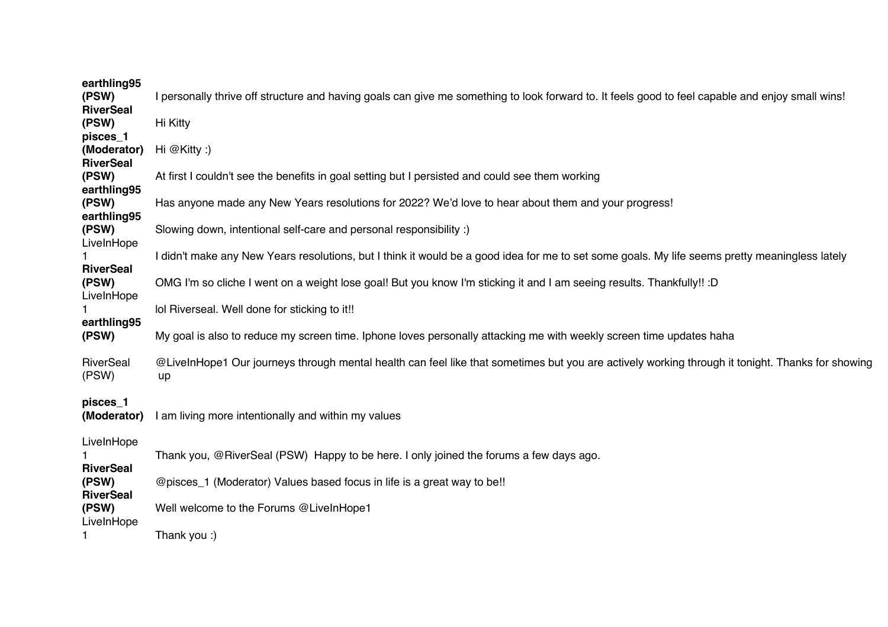| earthling95<br>(PSW)<br><b>RiverSeal</b>    | I personally thrive off structure and having goals can give me something to look forward to. It feels good to feel capable and enjoy small wins!       |
|---------------------------------------------|--------------------------------------------------------------------------------------------------------------------------------------------------------|
| (PSW)                                       | Hi Kitty                                                                                                                                               |
| pisces_1<br>(Moderator)<br><b>RiverSeal</b> | Hi $@Kitty:$ )                                                                                                                                         |
| (PSW)<br>earthling95                        | At first I couldn't see the benefits in goal setting but I persisted and could see them working                                                        |
| (PSW)<br>earthling95                        | Has anyone made any New Years resolutions for 2022? We'd love to hear about them and your progress!                                                    |
| (PSW)<br>LiveInHope                         | Slowing down, intentional self-care and personal responsibility :)                                                                                     |
| <b>RiverSeal</b>                            | I didn't make any New Years resolutions, but I think it would be a good idea for me to set some goals. My life seems pretty meaningless lately         |
| (PSW)<br>LiveInHope                         | OMG I'm so cliche I went on a weight lose goal! But you know I'm sticking it and I am seeing results. Thankfully!! :D                                  |
|                                             | lol Riverseal. Well done for sticking to it!!                                                                                                          |
| earthling95<br>(PSW)                        | My goal is also to reduce my screen time. Iphone loves personally attacking me with weekly screen time updates haha                                    |
| RiverSeal<br>(PSW)                          | @LiveInHope1 Our journeys through mental health can feel like that sometimes but you are actively working through it tonight. Thanks for showing<br>up |
| pisces_1<br>(Moderator)                     | I am living more intentionally and within my values                                                                                                    |
| LiveInHope<br><b>RiverSeal</b>              | Thank you, @RiverSeal (PSW) Happy to be here. I only joined the forums a few days ago.                                                                 |
| (PSW)<br><b>RiverSeal</b>                   | @pisces_1 (Moderator) Values based focus in life is a great way to be!!                                                                                |
| (PSW)<br>LiveInHope                         | Well welcome to the Forums @LiveInHope1                                                                                                                |
|                                             | Thank you :)                                                                                                                                           |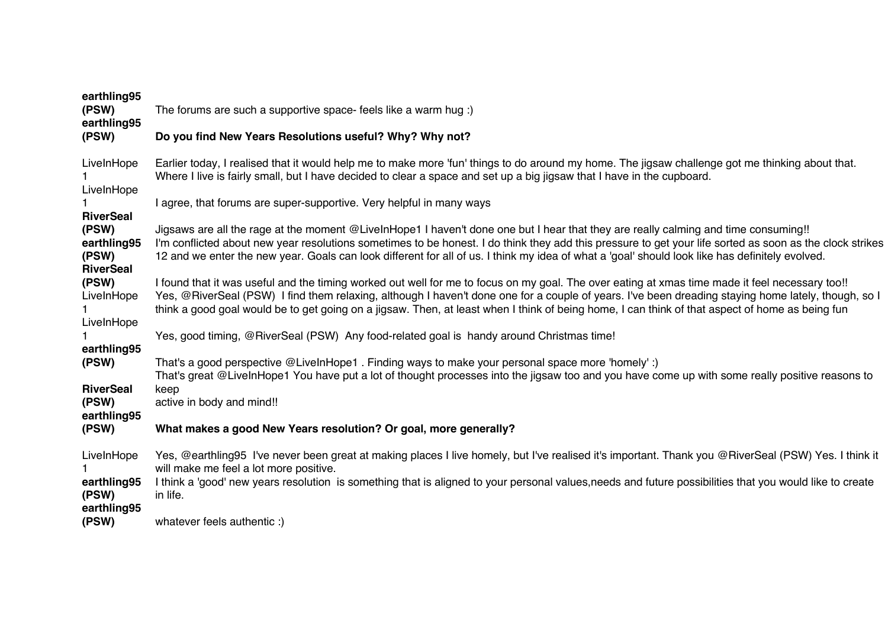| earthling95<br>(PSW)<br>earthling95               | The forums are such a supportive space-feels like a warm hug :)                                                                                                                                                                                                                                                                                                                                                                                           |
|---------------------------------------------------|-----------------------------------------------------------------------------------------------------------------------------------------------------------------------------------------------------------------------------------------------------------------------------------------------------------------------------------------------------------------------------------------------------------------------------------------------------------|
| (PSW)                                             | Do you find New Years Resolutions useful? Why? Why not?                                                                                                                                                                                                                                                                                                                                                                                                   |
| LiveInHope<br>LiveInHope                          | Earlier today, I realised that it would help me to make more 'fun' things to do around my home. The jigsaw challenge got me thinking about that.<br>Where I live is fairly small, but I have decided to clear a space and set up a big jigsaw that I have in the cupboard.                                                                                                                                                                                |
| <b>RiverSeal</b>                                  | I agree, that forums are super-supportive. Very helpful in many ways                                                                                                                                                                                                                                                                                                                                                                                      |
| (PSW)<br>earthling95<br>(PSW)<br><b>RiverSeal</b> | Jigsaws are all the rage at the moment @LiveInHope1 I haven't done one but I hear that they are really calming and time consuming!!<br>I'm conflicted about new year resolutions sometimes to be honest. I do think they add this pressure to get your life sorted as soon as the clock strikes<br>12 and we enter the new year. Goals can look different for all of us. I think my idea of what a 'goal' should look like has definitely evolved.        |
| (PSW)<br>LiveInHope<br>LiveInHope                 | I found that it was useful and the timing worked out well for me to focus on my goal. The over eating at xmas time made it feel necessary too!!<br>Yes, @RiverSeal (PSW) I find them relaxing, although I haven't done one for a couple of years. I've been dreading staying home lately, though, so I<br>think a good goal would be to get going on a jigsaw. Then, at least when I think of being home, I can think of that aspect of home as being fun |
| earthling95                                       | Yes, good timing, @RiverSeal (PSW) Any food-related goal is handy around Christmas time!                                                                                                                                                                                                                                                                                                                                                                  |
| (PSW)<br><b>RiverSeal</b>                         | That's a good perspective @LiveInHope1. Finding ways to make your personal space more 'homely':)<br>That's great @LiveInHope1 You have put a lot of thought processes into the jigsaw too and you have come up with some really positive reasons to<br>keep                                                                                                                                                                                               |
| (PSW)<br>earthling95                              | active in body and mind!!                                                                                                                                                                                                                                                                                                                                                                                                                                 |
| (PSW)                                             | What makes a good New Years resolution? Or goal, more generally?                                                                                                                                                                                                                                                                                                                                                                                          |
| LiveInHope<br>earthling95<br>(PSW)<br>earthling95 | Yes, @earthling95 I've never been great at making places I live homely, but I've realised it's important. Thank you @RiverSeal (PSW) Yes. I think it<br>will make me feel a lot more positive.<br>I think a 'good' new years resolution is something that is aligned to your personal values, needs and future possibilities that you would like to create<br>in life.                                                                                    |
| (PSW)                                             | whatever feels authentic :)                                                                                                                                                                                                                                                                                                                                                                                                                               |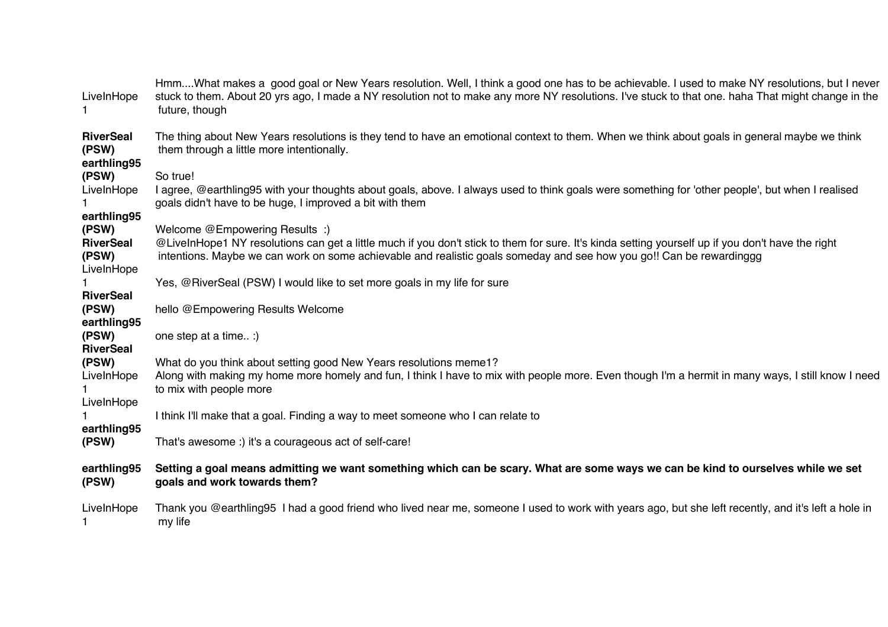| LiveInHope                               | HmmWhat makes a good goal or New Years resolution. Well, I think a good one has to be achievable. I used to make NY resolutions, but I never<br>stuck to them. About 20 yrs ago, I made a NY resolution not to make any more NY resolutions. I've stuck to that one. haha That might change in the<br>future, though |
|------------------------------------------|----------------------------------------------------------------------------------------------------------------------------------------------------------------------------------------------------------------------------------------------------------------------------------------------------------------------|
| <b>RiverSeal</b><br>(PSW)<br>earthling95 | The thing about New Years resolutions is they tend to have an emotional context to them. When we think about goals in general maybe we think<br>them through a little more intentionally.                                                                                                                            |
| (PSW)                                    | So true!                                                                                                                                                                                                                                                                                                             |
| LiveInHope                               | I agree, @earthling95 with your thoughts about goals, above. I always used to think goals were something for 'other people', but when I realised<br>goals didn't have to be huge, I improved a bit with them                                                                                                         |
| earthling95                              |                                                                                                                                                                                                                                                                                                                      |
| (PSW)                                    | Welcome @Empowering Results :)                                                                                                                                                                                                                                                                                       |
| <b>RiverSeal</b><br>(PSW)                | @LiveInHope1 NY resolutions can get a little much if you don't stick to them for sure. It's kinda setting yourself up if you don't have the right<br>intentions. Maybe we can work on some achievable and realistic goals someday and see how you go!! Can be rewardinggg                                            |
| LiveInHope                               | Yes, @RiverSeal (PSW) I would like to set more goals in my life for sure                                                                                                                                                                                                                                             |
| <b>RiverSeal</b>                         |                                                                                                                                                                                                                                                                                                                      |
| (PSW)<br>earthling95                     | hello @Empowering Results Welcome                                                                                                                                                                                                                                                                                    |
| (PSW)<br><b>RiverSeal</b>                | one step at a time :)                                                                                                                                                                                                                                                                                                |
| (PSW)<br>LiveInHope                      | What do you think about setting good New Years resolutions meme1?<br>Along with making my home more homely and fun, I think I have to mix with people more. Even though I'm a hermit in many ways, I still know I need<br>to mix with people more                                                                    |
| LiveInHope                               |                                                                                                                                                                                                                                                                                                                      |
|                                          | I think I'll make that a goal. Finding a way to meet someone who I can relate to                                                                                                                                                                                                                                     |
| earthling95<br>(PSW)                     | That's awesome :) it's a courageous act of self-care!                                                                                                                                                                                                                                                                |
| earthling95<br>(PSW)                     | Setting a goal means admitting we want something which can be scary. What are some ways we can be kind to ourselves while we set<br>goals and work towards them?                                                                                                                                                     |
| LiveInHope                               | Thank you @earthling95 I had a good friend who lived near me, someone I used to work with years ago, but she left recently, and it's left a hole in<br>my life                                                                                                                                                       |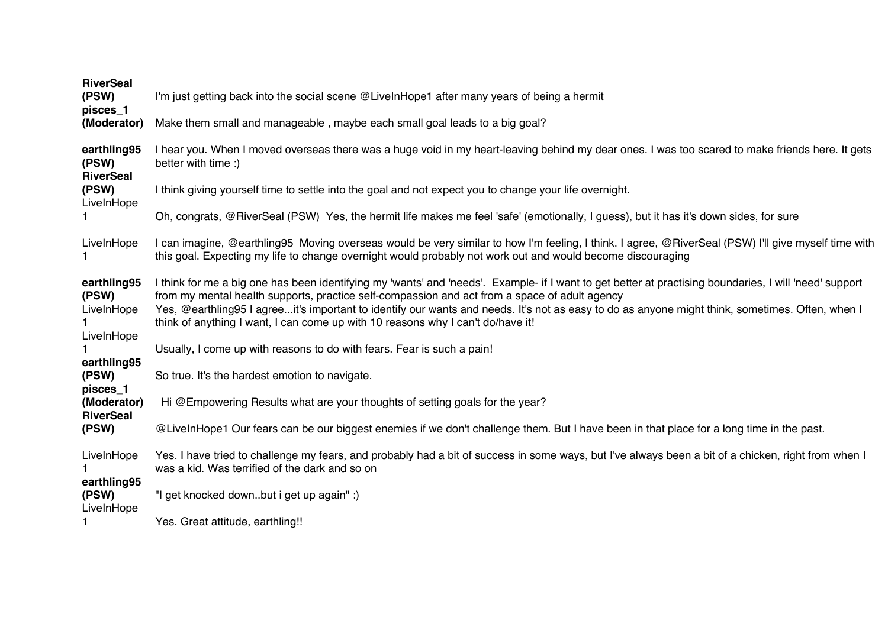| <b>RiverSeal</b><br>(PSW)<br>pisces_1                                        | I'm just getting back into the social scene @LiveInHope1 after many years of being a hermit                                                                                                                                                                                                                                                                                                                                                                                                   |
|------------------------------------------------------------------------------|-----------------------------------------------------------------------------------------------------------------------------------------------------------------------------------------------------------------------------------------------------------------------------------------------------------------------------------------------------------------------------------------------------------------------------------------------------------------------------------------------|
| (Moderator)                                                                  | Make them small and manageable, maybe each small goal leads to a big goal?                                                                                                                                                                                                                                                                                                                                                                                                                    |
| earthling95<br>(PSW)<br><b>RiverSeal</b>                                     | I hear you. When I moved overseas there was a huge void in my heart-leaving behind my dear ones. I was too scared to make friends here. It gets<br>better with time :)                                                                                                                                                                                                                                                                                                                        |
| (PSW)<br>LiveInHope                                                          | I think giving yourself time to settle into the goal and not expect you to change your life overnight.                                                                                                                                                                                                                                                                                                                                                                                        |
|                                                                              | Oh, congrats, @RiverSeal (PSW) Yes, the hermit life makes me feel 'safe' (emotionally, I guess), but it has it's down sides, for sure                                                                                                                                                                                                                                                                                                                                                         |
| LiveInHope                                                                   | I can imagine, @earthling95 Moving overseas would be very similar to how I'm feeling, I think. I agree, @RiverSeal (PSW) I'll give myself time with<br>this goal. Expecting my life to change overnight would probably not work out and would become discouraging                                                                                                                                                                                                                             |
| earthling95<br>(PSW)<br>LiveInHope                                           | I think for me a big one has been identifying my 'wants' and 'needs'. Example- if I want to get better at practising boundaries, I will 'need' support<br>from my mental health supports, practice self-compassion and act from a space of adult agency<br>Yes, @earthling95 I agreeit's important to identify our wants and needs. It's not as easy to do as anyone might think, sometimes. Often, when I<br>think of anything I want, I can come up with 10 reasons why I can't do/have it! |
| LiveInHope                                                                   | Usually, I come up with reasons to do with fears. Fear is such a pain!                                                                                                                                                                                                                                                                                                                                                                                                                        |
| earthling95<br>(PSW)<br>pisces_1<br>(Moderator)<br><b>RiverSeal</b><br>(PSW) | So true. It's the hardest emotion to navigate.                                                                                                                                                                                                                                                                                                                                                                                                                                                |
|                                                                              | Hi @Empowering Results what are your thoughts of setting goals for the year?                                                                                                                                                                                                                                                                                                                                                                                                                  |
|                                                                              | @LiveInHope1 Our fears can be our biggest enemies if we don't challenge them. But I have been in that place for a long time in the past.                                                                                                                                                                                                                                                                                                                                                      |
| LiveInHope<br>earthling95<br>(PSW)                                           | Yes. I have tried to challenge my fears, and probably had a bit of success in some ways, but I've always been a bit of a chicken, right from when I<br>was a kid. Was terrified of the dark and so on                                                                                                                                                                                                                                                                                         |
|                                                                              | "I get knocked downbut i get up again" :)                                                                                                                                                                                                                                                                                                                                                                                                                                                     |
| LiveInHope                                                                   | Yes. Great attitude, earthling!!                                                                                                                                                                                                                                                                                                                                                                                                                                                              |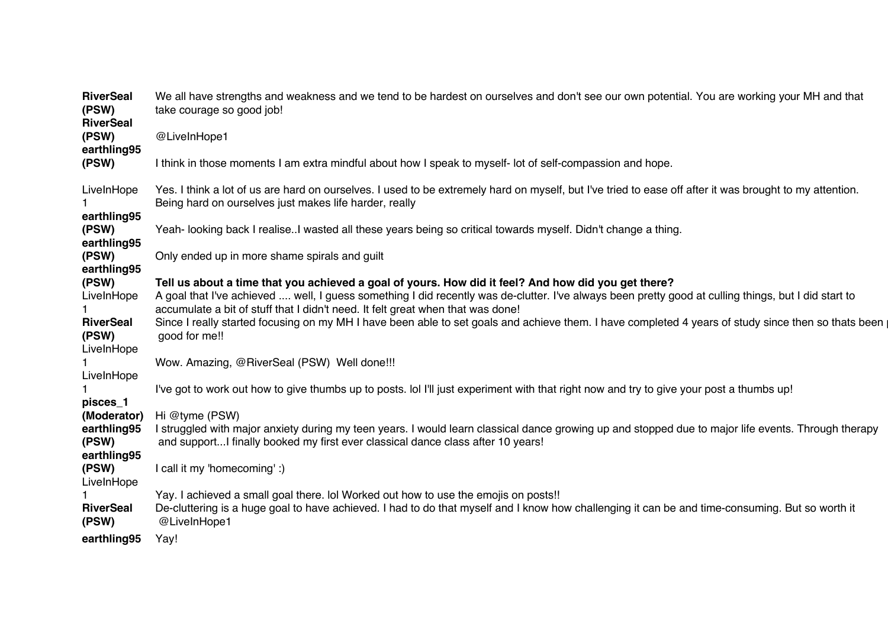| <b>RiverSeal</b><br>(PSW)<br><b>RiverSeal</b> | We all have strengths and weakness and we tend to be hardest on ourselves and don't see our own potential. You are working your MH and that<br>take courage so good job!                                                                                                                                                                       |
|-----------------------------------------------|------------------------------------------------------------------------------------------------------------------------------------------------------------------------------------------------------------------------------------------------------------------------------------------------------------------------------------------------|
| (PSW)<br>earthling95                          | @LiveInHope1                                                                                                                                                                                                                                                                                                                                   |
| (PSW)                                         | I think in those moments I am extra mindful about how I speak to myself- lot of self-compassion and hope.                                                                                                                                                                                                                                      |
| LiveInHope                                    | Yes. I think a lot of us are hard on ourselves. I used to be extremely hard on myself, but I've tried to ease off after it was brought to my attention.<br>Being hard on ourselves just makes life harder, really                                                                                                                              |
| earthling95<br>(PSW)<br>earthling95           | Yeah- looking back I realise. I wasted all these years being so critical towards myself. Didn't change a thing.                                                                                                                                                                                                                                |
| (PSW)<br>earthling95                          | Only ended up in more shame spirals and guilt                                                                                                                                                                                                                                                                                                  |
| (PSW)<br>LiveInHope                           | Tell us about a time that you achieved a goal of yours. How did it feel? And how did you get there?<br>A goal that I've achieved  well, I guess something I did recently was de-clutter. I've always been pretty good at culling things, but I did start to<br>accumulate a bit of stuff that I didn't need. It felt great when that was done! |
| <b>RiverSeal</b><br>(PSW)<br>LiveInHope       | Since I really started focusing on my MH I have been able to set goals and achieve them. I have completed 4 years of study since then so thats been<br>good for me!!                                                                                                                                                                           |
| LiveInHope                                    | Wow. Amazing, @RiverSeal (PSW) Well done!!!                                                                                                                                                                                                                                                                                                    |
| pisces_1                                      | I've got to work out how to give thumbs up to posts. Iol I'll just experiment with that right now and try to give your post a thumbs up!                                                                                                                                                                                                       |
| (Moderator)                                   | Hi @tyme (PSW)                                                                                                                                                                                                                                                                                                                                 |
| earthling95<br>(PSW)<br>earthling95           | I struggled with major anxiety during my teen years. I would learn classical dance growing up and stopped due to major life events. Through therapy<br>and supportI finally booked my first ever classical dance class after 10 years!                                                                                                         |
| (PSW)<br>LiveInHope                           | I call it my 'homecoming' :)                                                                                                                                                                                                                                                                                                                   |
| <b>RiverSeal</b><br>(PSW)                     | Yay. I achieved a small goal there. Iol Worked out how to use the emojis on posts!!<br>De-cluttering is a huge goal to have achieved. I had to do that myself and I know how challenging it can be and time-consuming. But so worth it<br>@LiveInHope1                                                                                         |
| earthling95                                   | Yay!                                                                                                                                                                                                                                                                                                                                           |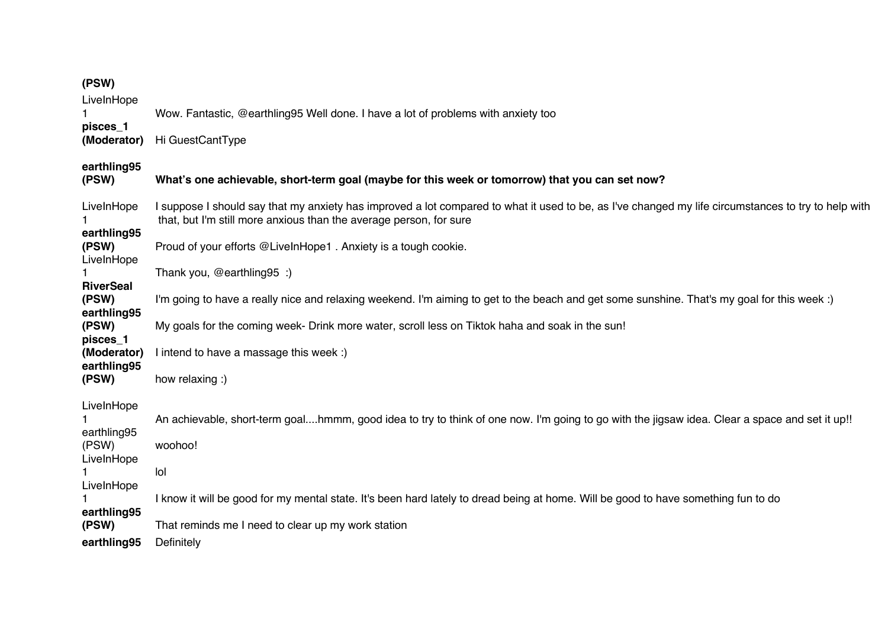## **(PSW)**

LiveInHope<br>1

1 Wow. Fantastic, @earthling95 Well done. I have a lot of problems with anxiety too

**pisces\_1 (Moderator)** Hi GuestCantType

**earthling95**

| earthling95<br>(PSW)               | What's one achievable, short-term goal (maybe for this week or tomorrow) that you can set now?                                                                                                                            |
|------------------------------------|---------------------------------------------------------------------------------------------------------------------------------------------------------------------------------------------------------------------------|
| LiveInHope<br>earthling95          | I suppose I should say that my anxiety has improved a lot compared to what it used to be, as I've changed my life circumstances to try to help with<br>that, but I'm still more anxious than the average person, for sure |
| (PSW)<br>LiveInHope                | Proud of your efforts @LiveInHope1. Anxiety is a tough cookie.                                                                                                                                                            |
| <b>RiverSeal</b>                   | Thank you, @earthling95 :)                                                                                                                                                                                                |
| (PSW)<br>earthling95               | I'm going to have a really nice and relaxing weekend. I'm aiming to get to the beach and get some sunshine. That's my goal for this week :)                                                                               |
| (PSW)<br>pisces_1<br>(Moderator)   | My goals for the coming week- Drink more water, scroll less on Tiktok haha and soak in the sun!<br>l intend to have a massage this week :)                                                                                |
| earthling95<br>(PSW)               | how relaxing :)                                                                                                                                                                                                           |
| LiveInHope<br>earthling95<br>(PSW) | An achievable, short-term goalhmmm, good idea to try to think of one now. I'm going to go with the jigsaw idea. Clear a space and set it up!!<br>woohoo!                                                                  |
| LiveInHope<br>LiveInHope           | lol                                                                                                                                                                                                                       |
| earthling95                        | I know it will be good for my mental state. It's been hard lately to dread being at home. Will be good to have something fun to do                                                                                        |
| (PSW)<br>earthling95               | That reminds me I need to clear up my work station<br>Definitely                                                                                                                                                          |
|                                    |                                                                                                                                                                                                                           |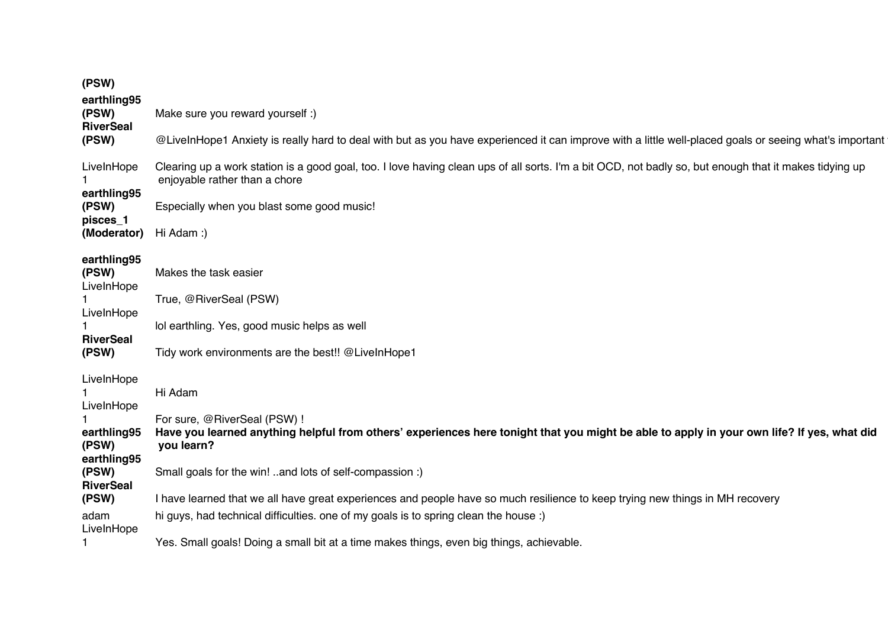| (PSW)                                             |                                                                                                                                                                                          |
|---------------------------------------------------|------------------------------------------------------------------------------------------------------------------------------------------------------------------------------------------|
| earthling95<br>(PSW)<br><b>RiverSeal</b><br>(PSW) | Make sure you reward yourself :)                                                                                                                                                         |
|                                                   | @LiveInHope1 Anxiety is really hard to deal with but as you have experienced it can improve with a little well-placed goals or seeing what's important                                   |
| LiveInHope                                        | Clearing up a work station is a good goal, too. I love having clean ups of all sorts. I'm a bit OCD, not badly so, but enough that it makes tidying up<br>enjoyable rather than a chore  |
| earthling95<br>(PSW)                              | Especially when you blast some good music!                                                                                                                                               |
| pisces_1<br>(Moderator)                           | Hi Adam:)                                                                                                                                                                                |
| earthling95<br>(PSW)                              | Makes the task easier                                                                                                                                                                    |
| LiveInHope                                        | True, @RiverSeal (PSW)                                                                                                                                                                   |
| LiveInHope                                        | lol earthling. Yes, good music helps as well                                                                                                                                             |
| <b>RiverSeal</b><br>(PSW)                         | Tidy work environments are the best!! @LiveInHope1                                                                                                                                       |
| LiveInHope<br>LiveInHope                          | Hi Adam                                                                                                                                                                                  |
| earthling95<br>(PSW)                              | For sure, @RiverSeal (PSW) !<br>Have you learned anything helpful from others' experiences here tonight that you might be able to apply in your own life? If yes, what did<br>you learn? |
| earthling95<br>(PSW)<br><b>RiverSeal</b>          | Small goals for the win! and lots of self-compassion :)                                                                                                                                  |
| (PSW)                                             | I have learned that we all have great experiences and people have so much resilience to keep trying new things in MH recovery                                                            |
| adam<br>LiveInHope                                | hi guys, had technical difficulties. one of my goals is to spring clean the house :)                                                                                                     |
|                                                   | Yes. Small goals! Doing a small bit at a time makes things, even big things, achievable.                                                                                                 |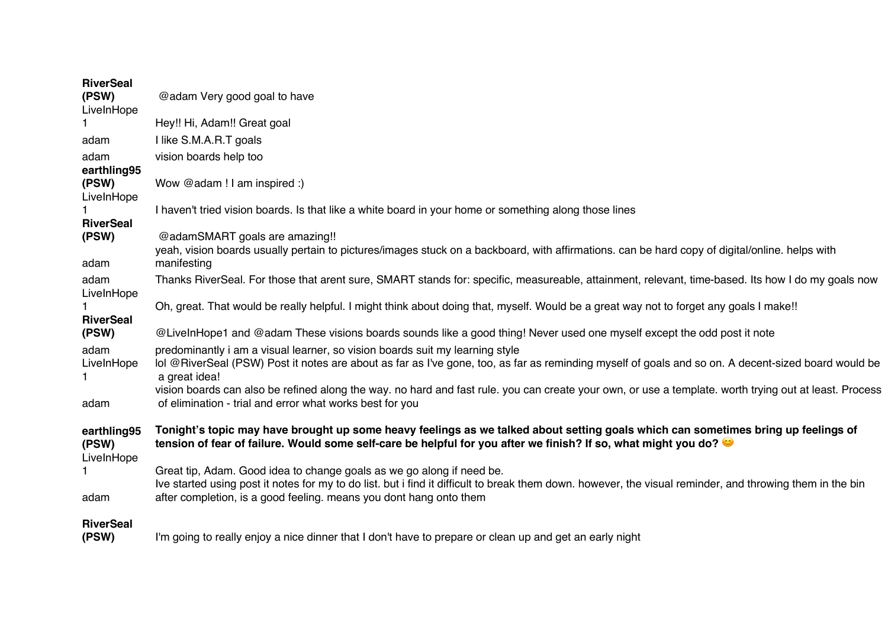| <b>RiverSeal</b><br>(PSW)<br>LiveInHope | @adam Very good goal to have                                                                                                                                                                                                                                                                                                                                                                                   |
|-----------------------------------------|----------------------------------------------------------------------------------------------------------------------------------------------------------------------------------------------------------------------------------------------------------------------------------------------------------------------------------------------------------------------------------------------------------------|
|                                         | Hey!! Hi, Adam!! Great goal                                                                                                                                                                                                                                                                                                                                                                                    |
| adam                                    | I like S.M.A.R.T goals                                                                                                                                                                                                                                                                                                                                                                                         |
| adam<br>earthling95                     | vision boards help too                                                                                                                                                                                                                                                                                                                                                                                         |
| (PSW)<br>LiveInHope                     | Wow @adam ! I am inspired :)                                                                                                                                                                                                                                                                                                                                                                                   |
| <b>RiverSeal</b>                        | I haven't tried vision boards. Is that like a white board in your home or something along those lines                                                                                                                                                                                                                                                                                                          |
| (PSW)<br>adam                           | @adamSMART goals are amazing!!<br>yeah, vision boards usually pertain to pictures/images stuck on a backboard, with affirmations. can be hard copy of digital/online. helps with<br>manifesting                                                                                                                                                                                                                |
| adam<br>LiveInHope                      | Thanks RiverSeal. For those that arent sure, SMART stands for: specific, measureable, attainment, relevant, time-based. Its how I do my goals now                                                                                                                                                                                                                                                              |
| <b>RiverSeal</b>                        | Oh, great. That would be really helpful. I might think about doing that, myself. Would be a great way not to forget any goals I make!!                                                                                                                                                                                                                                                                         |
| (PSW)                                   | @LiveInHope1 and @adam These visions boards sounds like a good thing! Never used one myself except the odd post it note                                                                                                                                                                                                                                                                                        |
| adam<br>LiveInHope<br>1                 | predominantly i am a visual learner, so vision boards suit my learning style<br>lol @RiverSeal (PSW) Post it notes are about as far as I've gone, too, as far as reminding myself of goals and so on. A decent-sized board would be<br>a great idea!<br>vision boards can also be refined along the way. no hard and fast rule. you can create your own, or use a template. worth trying out at least. Process |
| adam                                    | of elimination - trial and error what works best for you                                                                                                                                                                                                                                                                                                                                                       |
| earthling95<br>(PSW)<br>LiveInHope      | Tonight's topic may have brought up some heavy feelings as we talked about setting goals which can sometimes bring up feelings of<br>tension of fear of failure. Would some self-care be helpful for you after we finish? If so, what might you do?                                                                                                                                                            |
| adam                                    | Great tip, Adam. Good idea to change goals as we go along if need be.<br>Ive started using post it notes for my to do list. but i find it difficult to break them down. however, the visual reminder, and throwing them in the bin<br>after completion, is a good feeling. means you dont hang onto them                                                                                                       |
| <b>RiverSeal</b><br>(PSW)               | I'm going to really enjoy a nice dinner that I don't have to prepare or clean up and get an early night                                                                                                                                                                                                                                                                                                        |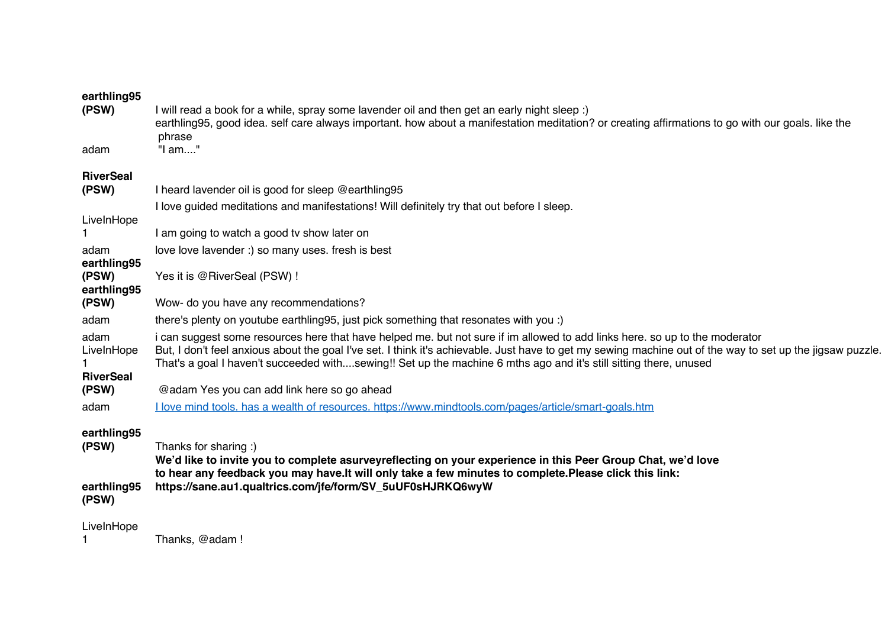| (PSW)                                  | I will read a book for a while, spray some lavender oil and then get an early night sleep :)<br>earthling95, good idea. self care always important. how about a manifestation meditation? or creating affirmations to go with our goals. like the<br>phrase                                                                                                                                                    |
|----------------------------------------|----------------------------------------------------------------------------------------------------------------------------------------------------------------------------------------------------------------------------------------------------------------------------------------------------------------------------------------------------------------------------------------------------------------|
| adam                                   | "I am"                                                                                                                                                                                                                                                                                                                                                                                                         |
| <b>RiverSeal</b><br>(PSW)              | I heard lavender oil is good for sleep @earthling95                                                                                                                                                                                                                                                                                                                                                            |
|                                        | I love guided meditations and manifestations! Will definitely try that out before I sleep.                                                                                                                                                                                                                                                                                                                     |
| LiveInHope                             |                                                                                                                                                                                                                                                                                                                                                                                                                |
|                                        | I am going to watch a good tv show later on                                                                                                                                                                                                                                                                                                                                                                    |
| adam                                   | love love lavender :) so many uses. fresh is best                                                                                                                                                                                                                                                                                                                                                              |
| earthling95<br>(PSW)<br>earthling95    | Yes it is @RiverSeal (PSW) !                                                                                                                                                                                                                                                                                                                                                                                   |
| (PSW)                                  | Wow- do you have any recommendations?                                                                                                                                                                                                                                                                                                                                                                          |
| adam                                   | there's plenty on youtube earthling 95, just pick something that resonates with you :)                                                                                                                                                                                                                                                                                                                         |
| adam<br>LiveInHope<br><b>RiverSeal</b> | i can suggest some resources here that have helped me. but not sure if im allowed to add links here, so up to the moderator<br>But, I don't feel anxious about the goal I've set. I think it's achievable. Just have to get my sewing machine out of the way to set up the jigsaw puzzle.<br>That's a goal I haven't succeeded withsewing!! Set up the machine 6 mths ago and it's still sitting there, unused |
| (PSW)                                  | @adam Yes you can add link here so go ahead                                                                                                                                                                                                                                                                                                                                                                    |
| adam                                   | I love mind tools. has a wealth of resources. https://www.mindtools.com/pages/article/smart-goals.htm                                                                                                                                                                                                                                                                                                          |
| earthling95<br>(PSW)                   | Thanks for sharing :)<br>We'd like to invite you to complete asurveyreflecting on your experience in this Peer Group Chat, we'd love<br>to hear any feedback you may have. It will only take a few minutes to complete. Please click this link:                                                                                                                                                                |
| earthling95<br>(PSW)                   | https://sane.au1.qualtrics.com/jfe/form/SV_5uUF0sHJRKQ6wyW                                                                                                                                                                                                                                                                                                                                                     |
| LiveInHope                             | Thanks, @adam !                                                                                                                                                                                                                                                                                                                                                                                                |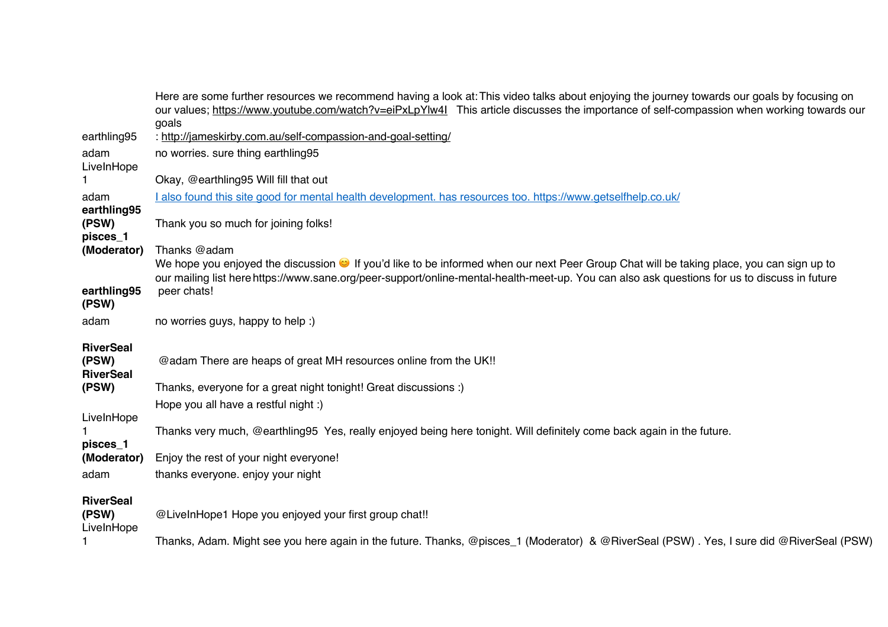|                                               | Here are some further resources we recommend having a look at: This video talks about enjoying the journey towards our goals by focusing on<br>our values; https://www.youtube.com/watch?v=eiPxLpYlw41 This article discusses the importance of self-compassion when working towards our<br>goals |
|-----------------------------------------------|---------------------------------------------------------------------------------------------------------------------------------------------------------------------------------------------------------------------------------------------------------------------------------------------------|
| earthling95                                   | : http://jameskirby.com.au/self-compassion-and-goal-setting/                                                                                                                                                                                                                                      |
| adam<br>LiveInHope                            | no worries. sure thing earthling95                                                                                                                                                                                                                                                                |
|                                               | Okay, @earthling95 Will fill that out                                                                                                                                                                                                                                                             |
| adam<br>earthling95                           | I also found this site good for mental health development. has resources too. https://www.getselfhelp.co.uk/                                                                                                                                                                                      |
| (PSW)<br>pisces_1                             | Thank you so much for joining folks!                                                                                                                                                                                                                                                              |
| (Moderator)                                   | Thanks @adam                                                                                                                                                                                                                                                                                      |
|                                               | We hope you enjoyed the discussion if you'd like to be informed when our next Peer Group Chat will be taking place, you can sign up to<br>our mailing list here https://www.sane.org/peer-support/online-mental-health-meet-up. You can also ask questions for us to discuss in future            |
| earthling95<br>(PSW)                          | peer chats!                                                                                                                                                                                                                                                                                       |
| adam                                          | no worries guys, happy to help :)                                                                                                                                                                                                                                                                 |
| <b>RiverSeal</b><br>(PSW)<br><b>RiverSeal</b> | @adam There are heaps of great MH resources online from the UK!!                                                                                                                                                                                                                                  |
| (PSW)                                         | Thanks, everyone for a great night tonight! Great discussions :)                                                                                                                                                                                                                                  |
|                                               | Hope you all have a restful night :)                                                                                                                                                                                                                                                              |
| LiveInHope<br>pisces_1                        | Thanks very much, @earthling95 Yes, really enjoyed being here tonight. Will definitely come back again in the future.                                                                                                                                                                             |
| (Moderator)                                   | Enjoy the rest of your night everyone!                                                                                                                                                                                                                                                            |
| adam                                          | thanks everyone. enjoy your night                                                                                                                                                                                                                                                                 |
| <b>RiverSeal</b><br>(PSW)                     | @LiveInHope1 Hope you enjoyed your first group chat!!                                                                                                                                                                                                                                             |
| LiveInHope                                    | Thanks, Adam. Might see you here again in the future. Thanks, @pisces_1 (Moderator) & @RiverSeal (PSW). Yes, I sure did @RiverSeal (PSW)                                                                                                                                                          |